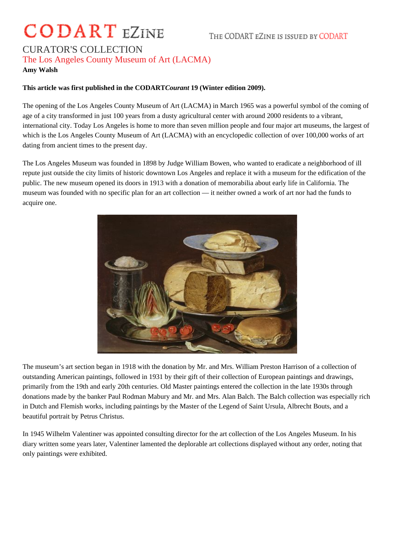## **CODART** EZINE

## CURATOR'S COLLECTION The Los Angeles County Museum of Art (LACMA)

## **Amy Walsh**

## **This article was first published in the CODART***Courant* **19 (Winter edition 2009).**

The opening of the Los Angeles County Museum of Art (LACMA) in March 1965 was a powerful symbol of the coming of age of a city transformed in just 100 years from a dusty agricultural center with around 2000 residents to a vibrant, international city. Today Los Angeles is home to more than seven million people and four major art museums, the largest of which is the Los Angeles County Museum of Art (LACMA) with an encyclopedic collection of over 100,000 works of art dating from ancient times to the present day.

The Los Angeles Museum was founded in 1898 by Judge William Bowen, who wanted to eradicate a neighborhood of ill repute just outside the city limits of historic downtown Los Angeles and replace it with a museum for the edification of the public. The new museum opened its doors in 1913 with a donation of memorabilia about early life in California. The museum was founded with no specific plan for an art collection — it neither owned a work of art nor had the funds to acquire one.



The museum's art section began in 1918 with the donation by Mr. and Mrs. William Preston Harrison of a collection of outstanding American paintings, followed in 1931 by their gift of their collection of European paintings and drawings, primarily from the 19th and early 20th centuries. Old Master paintings entered the collection in the late 1930s through donations made by the banker Paul Rodman Mabury and Mr. and Mrs. Alan Balch. The Balch collection was especially rich in Dutch and Flemish works, including paintings by the Master of the Legend of Saint Ursula, Albrecht Bouts, and a beautiful portrait by Petrus Christus.

In 1945 Wilhelm Valentiner was appointed consulting director for the art collection of the Los Angeles Museum. In his diary written some years later, Valentiner lamented the deplorable art collections displayed without any order, noting that only paintings were exhibited.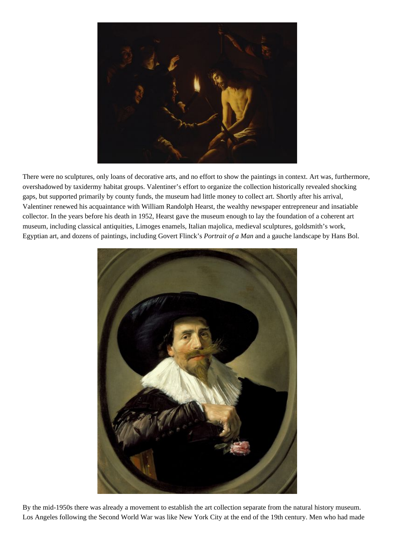

There were no sculptures, only loans of decorative arts, and no effort to show the paintings in context. Art was, furthermore, overshadowed by taxidermy habitat groups. Valentiner's effort to organize the collection historically revealed shocking gaps, but supported primarily by county funds, the museum had little money to collect art. Shortly after his arrival, Valentiner renewed his acquaintance with William Randolph Hearst, the wealthy newspaper entrepreneur and insatiable collector. In the years before his death in 1952, Hearst gave the museum enough to lay the foundation of a coherent art museum, including classical antiquities, Limoges enamels, Italian majolica, medieval sculptures, goldsmith's work, Egyptian art, and dozens of paintings, including Govert Flinck's *Portrait of a Man* and a gauche landscape by Hans Bol.



By the mid-1950s there was already a movement to establish the art collection separate from the natural history museum. Los Angeles following the Second World War was like New York City at the end of the 19th century. Men who had made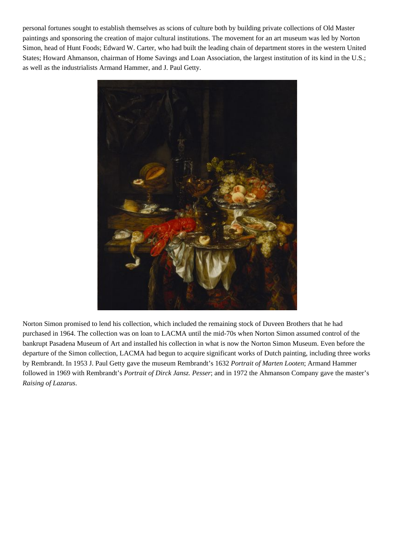personal fortunes sought to establish themselves as scions of culture both by building private collections of Old Master paintings and sponsoring the creation of major cultural institutions. The movement for an art museum was led by Norton Simon, head of Hunt Foods; Edward W. Carter, who had built the leading chain of department stores in the western United States; Howard Ahmanson, chairman of Home Savings and Loan Association, the largest institution of its kind in the U.S.; as well as the industrialists Armand Hammer, and J. Paul Getty.



Norton Simon promised to lend his collection, which included the remaining stock of Duveen Brothers that he had purchased in 1964. The collection was on loan to LACMA until the mid-70s when Norton Simon assumed control of the bankrupt Pasadena Museum of Art and installed his collection in what is now the Norton Simon Museum. Even before the departure of the Simon collection, LACMA had begun to acquire significant works of Dutch painting, including three works by Rembrandt. In 1953 J. Paul Getty gave the museum Rembrandt's 1632 *Portrait of Marten Looten*; Armand Hammer followed in 1969 with Rembrandt's *Portrait of Dirck Jansz. Pesser*; and in 1972 the Ahmanson Company gave the master's *Raising of Lazarus*.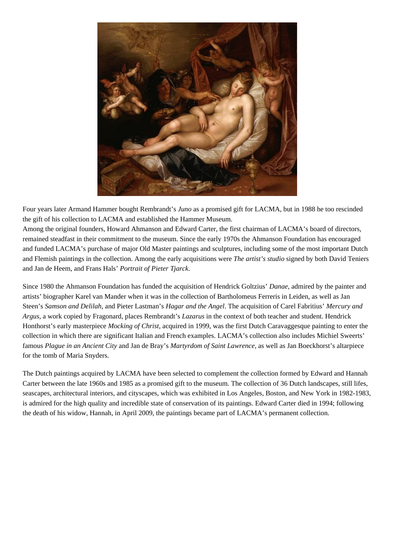

Four years later Armand Hammer bought Rembrandt's *Juno* as a promised gift for LACMA, but in 1988 he too rescinded the gift of his collection to LACMA and established the Hammer Museum.

Among the original founders, Howard Ahmanson and Edward Carter, the first chairman of LACMA's board of directors, remained steadfast in their commitment to the museum. Since the early 1970s the Ahmanson Foundation has encouraged and funded LACMA's purchase of major Old Master paintings and sculptures, including some of the most important Dutch and Flemish paintings in the collection. Among the early acquisitions were *The artist's studio* signed by both David Teniers and Jan de Heem, and Frans Hals' *Portrait of Pieter Tjarck*.

Since 1980 the Ahmanson Foundation has funded the acquisition of Hendrick Goltzius' *Danae*, admired by the painter and artists' biographer Karel van Mander when it was in the collection of Bartholomeus Ferreris in Leiden, as well as Jan Steen's *Samson and Delilah*, and Pieter Lastman's *Hagar and the Angel*. The acquisition of Carel Fabritius' *Mercury and Argus*, a work copied by Fragonard, places Rembrandt's *Lazarus* in the context of both teacher and student. Hendrick Honthorst's early masterpiece *Mocking of Christ*, acquired in 1999, was the first Dutch Caravaggesque painting to enter the collection in which there are significant Italian and French examples. LACMA's collection also includes Michiel Sweerts' famous *Plague in an Ancient City* and Jan de Bray's *Martyrdom of Saint Lawrence*, as well as Jan Boeckhorst's altarpiece for the tomb of Maria Snyders.

The Dutch paintings acquired by LACMA have been selected to complement the collection formed by Edward and Hannah Carter between the late 1960s and 1985 as a promised gift to the museum. The collection of 36 Dutch landscapes, still lifes, seascapes, architectural interiors, and cityscapes, which was exhibited in Los Angeles, Boston, and New York in 1982-1983, is admired for the high quality and incredible state of conservation of its paintings. Edward Carter died in 1994; following the death of his widow, Hannah, in April 2009, the paintings became part of LACMA's permanent collection.